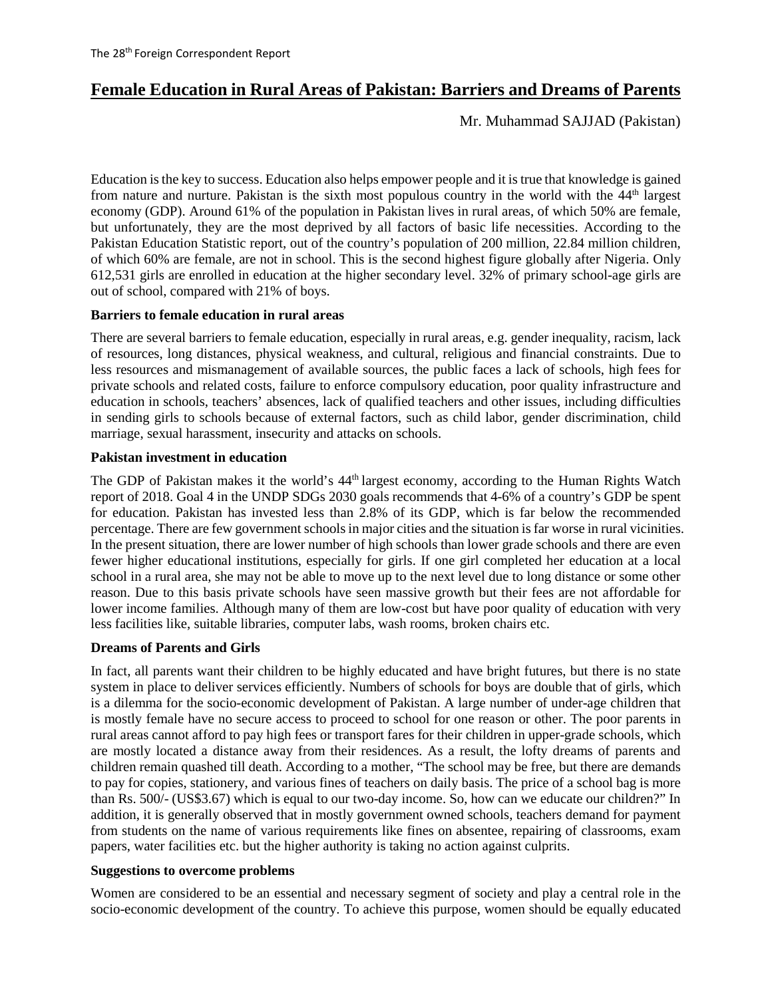# **Female Education in Rural Areas of Pakistan: Barriers and Dreams of Parents**

Mr. Muhammad SAJJAD (Pakistan)

Education is the key to success. Education also helps empower people and it is true that knowledge is gained from nature and nurture. Pakistan is the sixth most populous country in the world with the 44th largest economy (GDP). Around 61% of the population in Pakistan lives in rural areas, of which 50% are female, but unfortunately, they are the most deprived by all factors of basic life necessities. According to the Pakistan Education Statistic report, out of the country's population of 200 million, 22.84 million children, of which 60% are female, are not in school. This is the second highest figure globally after Nigeria. Only 612,531 girls are enrolled in education at the higher secondary level. 32% of primary school-age girls are out of school, compared with 21% of boys.

### **Barriers to female education in rural areas**

There are several barriers to female education, especially in rural areas, e.g. gender inequality, racism, lack of resources, long distances, physical weakness, and cultural, religious and financial constraints. Due to less resources and mismanagement of available sources, the public faces a lack of schools, high fees for private schools and related costs, failure to enforce compulsory education, poor quality infrastructure and education in schools, teachers' absences, lack of qualified teachers and other issues, including difficulties in sending girls to schools because of external factors, such as child labor, gender discrimination, child marriage, sexual harassment, insecurity and attacks on schools.

### **Pakistan investment in education**

The GDP of Pakistan makes it the world's 44<sup>th</sup> largest economy, according to the Human Rights Watch report of 2018. Goal 4 in the UNDP SDGs 2030 goals recommends that 4-6% of a country's GDP be spent for education. Pakistan has invested less than 2.8% of its GDP, which is far below the recommended percentage. There are few government schools in major cities and the situation is far worse in rural vicinities. In the present situation, there are lower number of high schools than lower grade schools and there are even fewer higher educational institutions, especially for girls. If one girl completed her education at a local school in a rural area, she may not be able to move up to the next level due to long distance or some other reason. Due to this basis private schools have seen massive growth but their fees are not affordable for lower income families. Although many of them are low-cost but have poor quality of education with very less facilities like, suitable libraries, computer labs, wash rooms, broken chairs etc.

## **Dreams of Parents and Girls**

In fact, all parents want their children to be highly educated and have bright futures, but there is no state system in place to deliver services efficiently. Numbers of schools for boys are double that of girls, which is a dilemma for the socio-economic development of Pakistan. A large number of under-age children that is mostly female have no secure access to proceed to school for one reason or other. The poor parents in rural areas cannot afford to pay high fees or transport fares for their children in upper-grade schools, which are mostly located a distance away from their residences. As a result, the lofty dreams of parents and children remain quashed till death. According to a mother, "The school may be free, but there are demands to pay for copies, stationery, and various fines of teachers on daily basis. The price of a school bag is more than Rs. 500/- (US\$3.67) which is equal to our two-day income. So, how can we educate our children?" In addition, it is generally observed that in mostly government owned schools, teachers demand for payment from students on the name of various requirements like fines on absentee, repairing of classrooms, exam papers, water facilities etc. but the higher authority is taking no action against culprits.

#### **Suggestions to overcome problems**

Women are considered to be an essential and necessary segment of society and play a central role in the socio-economic development of the country. To achieve this purpose, women should be equally educated